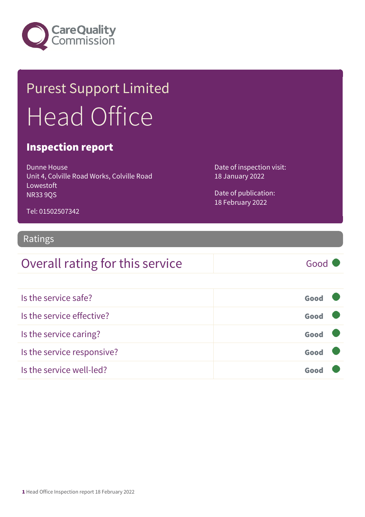

## Purest Support Limited Head Office

#### Inspection report

Dunne House Unit 4, Colville Road Works, Colville Road Lowestoft NR33 9QS

Date of inspection visit: 18 January 2022

Date of publication: 18 February 2022

#### Tel: 01502507342

#### Ratings

### Overall rating for this service Good

| Is the service safe?       | Good |  |
|----------------------------|------|--|
| Is the service effective?  | Good |  |
| Is the service caring?     | Good |  |
| Is the service responsive? | Good |  |
| Is the service well-led?   | Goo  |  |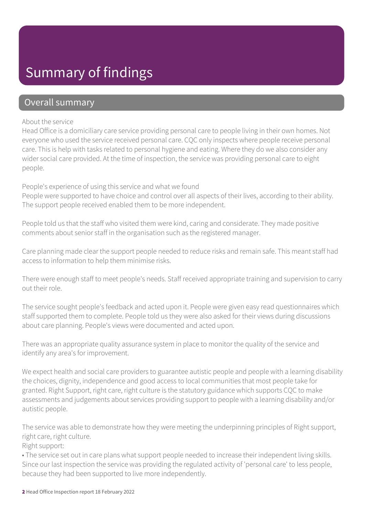### Summary of findings

#### Overall summary

#### About the service

Head Office is a domiciliary care service providing personal care to people living in their own homes. Not everyone who used the service received personal care. CQC only inspects where people receive personal care. This is help with tasks related to personal hygiene and eating. Where they do we also consider any wider social care provided. At the time of inspection, the service was providing personal care to eight people.

#### People's experience of using this service and what we found

People were supported to have choice and control over all aspects of their lives, according to their ability. The support people received enabled them to be more independent.

People told us that the staff who visited them were kind, caring and considerate. They made positive comments about senior staff in the organisation such as the registered manager.

Care planning made clear the support people needed to reduce risks and remain safe. This meant staff had access to information to help them minimise risks.

There were enough staff to meet people's needs. Staff received appropriate training and supervision to carry out their role.

The service sought people's feedback and acted upon it. People were given easy read questionnaires which staff supported them to complete. People told us they were also asked for their views during discussions about care planning. People's views were documented and acted upon.

There was an appropriate quality assurance system in place to monitor the quality of the service and identify any area's for improvement.

We expect health and social care providers to guarantee autistic people and people with a learning disability the choices, dignity, independence and good access to local communities that most people take for granted. Right Support, right care, right culture is the statutory guidance which supports CQC to make assessments and judgements about services providing support to people with a learning disability and/or autistic people.

The service was able to demonstrate how they were meeting the underpinning principles of Right support, right care, right culture.

Right support:

• The service set out in care plans what support people needed to increase their independent living skills. Since our last inspection the service was providing the regulated activity of 'personal care' to less people, because they had been supported to live more independently.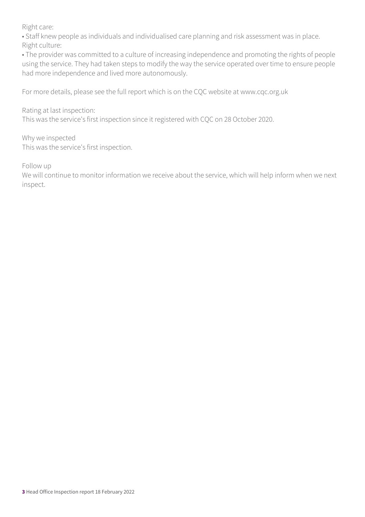Right care:

• Staff knew people as individuals and individualised care planning and risk assessment was in place. Right culture:

• The provider was committed to a culture of increasing independence and promoting the rights of people using the service. They had taken steps to modify the way the service operated over time to ensure people had more independence and lived more autonomously.

For more details, please see the full report which is on the CQC website at www.cqc.org.uk

Rating at last inspection:

This was the service's first inspection since it registered with CQC on 28 October 2020.

Why we inspected This was the service's first inspection.

Follow up

We will continue to monitor information we receive about the service, which will help inform when we next inspect.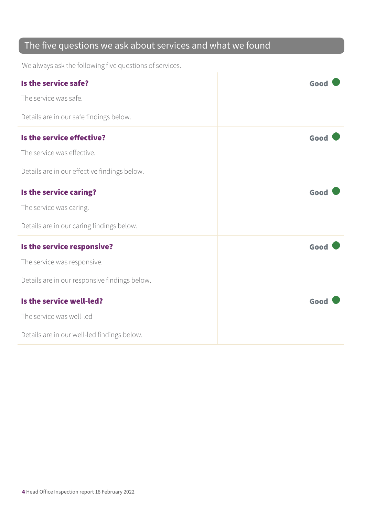### The five questions we ask about services and what we found

We always ask the following five questions of services.

| Is the service safe?                          | Good |
|-----------------------------------------------|------|
| The service was safe.                         |      |
| Details are in our safe findings below.       |      |
| Is the service effective?                     | Good |
| The service was effective.                    |      |
| Details are in our effective findings below.  |      |
| Is the service caring?                        | Good |
| The service was caring.                       |      |
| Details are in our caring findings below.     |      |
| Is the service responsive?                    | Good |
| The service was responsive.                   |      |
| Details are in our responsive findings below. |      |
| Is the service well-led?                      | Good |
| The service was well-led                      |      |
| Details are in our well-led findings below.   |      |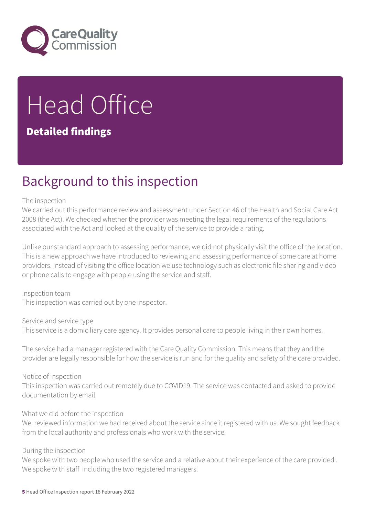

# Head Office

#### Detailed findings

### Background to this inspection

#### The inspection

We carried out this performance review and assessment under Section 46 of the Health and Social Care Act 2008 (the Act). We checked whether the provider was meeting the legal requirements of the regulations associated with the Act and looked at the quality of the service to provide a rating.

Unlike our standard approach to assessing performance, we did not physically visit the office of the location. This is a new approach we have introduced to reviewing and assessing performance of some care at home providers. Instead of visiting the office location we use technology such as electronic file sharing and video or phone calls to engage with people using the service and staff.

Inspection team This inspection was carried out by one inspector.

Service and service type This service is a domiciliary care agency. It provides personal care to people living in their own homes.

The service had a manager registered with the Care Quality Commission. This means that they and the provider are legally responsible for how the service is run and for the quality and safety of the care provided.

Notice of inspection

This inspection was carried out remotely due to COVID19. The service was contacted and asked to provide documentation by email.

#### What we did before the inspection

We reviewed information we had received about the service since it registered with us. We sought feedback from the local authority and professionals who work with the service.

#### During the inspection

We spoke with two people who used the service and a relative about their experience of the care provided . We spoke with staff including the two registered managers.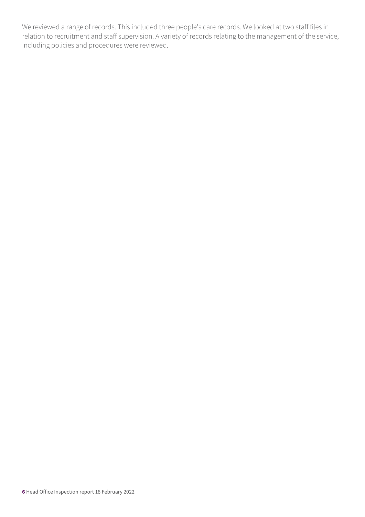We reviewed a range of records. This included three people's care records. We looked at two staff files in relation to recruitment and staff supervision. A variety of records relating to the management of the service, including policies and procedures were reviewed.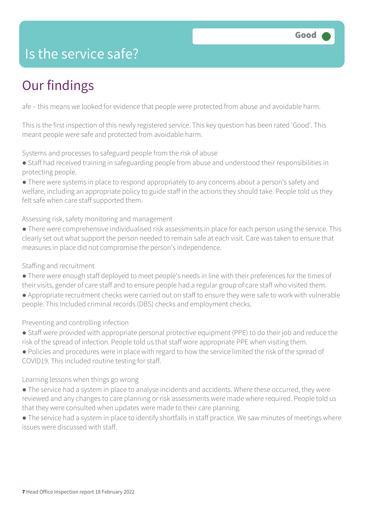### Is the service safe?

### Our findings

afe – this means we looked for evidence that people were protected from abuse and avoidable harm.

This is the first inspection of this newly registered service. This key question has been rated 'Good'. This meant people were safe and protected from avoidable harm.

Systems and processes to safeguard people from the risk of abuse

- Staff had received training in safeguarding people from abuse and understood their responsibilities in protecting people.
- There were systems in place to respond appropriately to any concerns about a person's safety and welfare, including an appropriate policy to guide staff in the actions they should take. People told us they felt safe when care staff supported them.

Assessing risk, safety monitoring and management

● There were comprehensive individualised risk assessments in place for each person using the service. This clearly set out what support the person needed to remain safe at each visit. Care was taken to ensure that measures in place did not compromise the person's independence.

Staffing and recruitment

- There were enough staff deployed to meet people's needs in line with their preferences for the times of their visits, gender of care staff and to ensure people had a regular group of care staff who visited them.
- Appropriate recruitment checks were carried out on staff to ensure they were safe to work with vulnerable people. This included criminal records (DBS) checks and employment checks.

Preventing and controlling infection

- Staff were provided with appropriate personal protective equipment (PPE) to do their job and reduce the risk of the spread of infection. People told us that staff wore appropriate PPE when visiting them.
- Policies and procedures were in place with regard to how the service limited the risk of the spread of COVID19. This included routine testing for staff.

Learning lessons when things go wrong

- The service had a system in place to analyse incidents and accidents. Where these occurred, they were reviewed and any changes to care planning or risk assessments were made where required. People told us that they were consulted when updates were made to their care planning.
- The service had a system in place to identify shortfalls in staff practice. We saw minutes of meetings where issues were discussed with staff.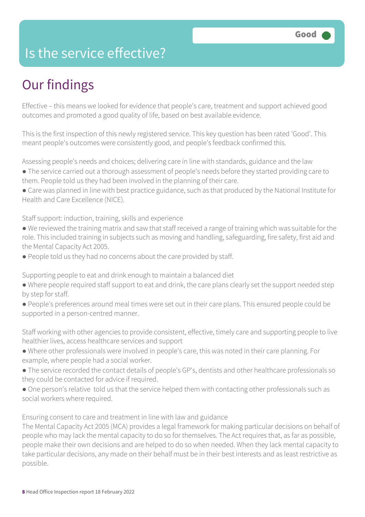### Is the service effective?

### Our findings

Effective – this means we looked for evidence that people's care, treatment and support achieved good outcomes and promoted a good quality of life, based on best available evidence.

This is the first inspection of this newly registered service. This key question has been rated 'Good'. This meant people's outcomes were consistently good, and people's feedback confirmed this.

Assessing people's needs and choices; delivering care in line with standards, guidance and the law

- The service carried out a thorough assessment of people's needs before they started providing care to them. People told us they had been involved in the planning of their care.
- Care was planned in line with best practice guidance, such as that produced by the National Institute for Health and Care Excellence (NICE).

Staff support: induction, training, skills and experience

- We reviewed the training matrix and saw that staff received a range of training which was suitable for the role. This included training in subjects such as moving and handling, safeguarding, fire safety, first aid and the Mental Capacity Act 2005.
- People told us they had no concerns about the care provided by staff.

Supporting people to eat and drink enough to maintain a balanced diet

- Where people required staff support to eat and drink, the care plans clearly set the support needed step by step for staff.
- People's preferences around meal times were set out in their care plans. This ensured people could be supported in a person-centred manner.

Staff working with other agencies to provide consistent, effective, timely care and supporting people to live healthier lives, access healthcare services and support

- Where other professionals were involved in people's care, this was noted in their care planning. For example, where people had a social worker.
- The service recorded the contact details of people's GP's, dentists and other healthcare professionals so they could be contacted for advice if required.
- One person's relative told us that the service helped them with contacting other professionals such as social workers where required.

Ensuring consent to care and treatment in line with law and guidance

The Mental Capacity Act 2005 (MCA) provides a legal framework for making particular decisions on behalf of people who may lack the mental capacity to do so for themselves. The Act requires that, as far as possible, people make their own decisions and are helped to do so when needed. When they lack mental capacity to take particular decisions, any made on their behalf must be in their best interests and as least restrictive as possible.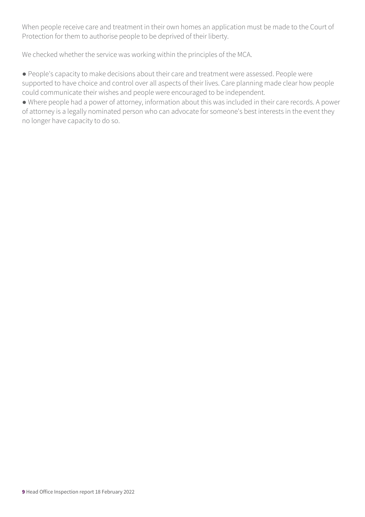When people receive care and treatment in their own homes an application must be made to the Court of Protection for them to authorise people to be deprived of their liberty.

We checked whether the service was working within the principles of the MCA.

● People's capacity to make decisions about their care and treatment were assessed. People were supported to have choice and control over all aspects of their lives. Care planning made clear how people could communicate their wishes and people were encouraged to be independent.

● Where people had a power of attorney, information about this was included in their care records. A power of attorney is a legally nominated person who can advocate for someone's best interests in the event they no longer have capacity to do so.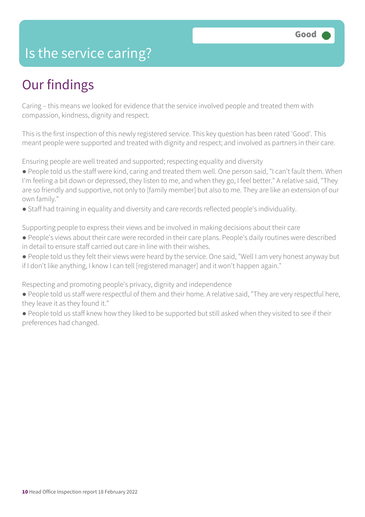### Is the service caring?

### Our findings

Caring – this means we looked for evidence that the service involved people and treated them with compassion, kindness, dignity and respect.

This is the first inspection of this newly registered service. This key question has been rated 'Good'. This meant people were supported and treated with dignity and respect; and involved as partners in their care.

Ensuring people are well treated and supported; respecting equality and diversity

- People told us the staff were kind, caring and treated them well. One person said, "I can't fault them. When I'm feeling a bit down or depressed, they listen to me, and when they go, I feel better." A relative said, "They are so friendly and supportive, not only to [family member] but also to me. They are like an extension of our own family."
- Staff had training in equality and diversity and care records reflected people's individuality.

Supporting people to express their views and be involved in making decisions about their care

- People's views about their care were recorded in their care plans. People's daily routines were described in detail to ensure staff carried out care in line with their wishes.
- People told us they felt their views were heard by the service. One said, "Well I am very honest anyway but if I don't like anything, I know I can tell [registered manager] and it won't happen again."

Respecting and promoting people's privacy, dignity and independence

- People told us staff were respectful of them and their home. A relative said, "They are very respectful here, they leave it as they found it."
- People told us staff knew how they liked to be supported but still asked when they visited to see if their preferences had changed.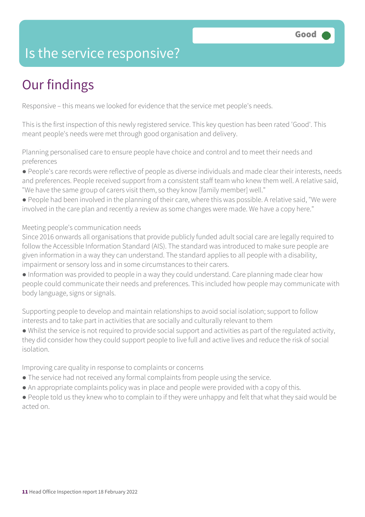### Is the service responsive?

### Our findings

Responsive – this means we looked for evidence that the service met people's needs.

This is the first inspection of this newly registered service. This key question has been rated 'Good'. This meant people's needs were met through good organisation and delivery.

Planning personalised care to ensure people have choice and control and to meet their needs and preferences

● People's care records were reflective of people as diverse individuals and made clear their interests, needs and preferences. People received support from a consistent staff team who knew them well. A relative said, "We have the same group of carers visit them, so they know [family member] well."

● People had been involved in the planning of their care, where this was possible. A relative said, "We were involved in the care plan and recently a review as some changes were made. We have a copy here."

Meeting people's communication needs

Since 2016 onwards all organisations that provide publicly funded adult social care are legally required to follow the Accessible Information Standard (AIS). The standard was introduced to make sure people are given information in a way they can understand. The standard applies to all people with a disability, impairment or sensory loss and in some circumstances to their carers.

● Information was provided to people in a way they could understand. Care planning made clear how people could communicate their needs and preferences. This included how people may communicate with body language, signs or signals.

Supporting people to develop and maintain relationships to avoid social isolation; support to follow interests and to take part in activities that are socially and culturally relevant to them

● Whilst the service is not required to provide social support and activities as part of the regulated activity, they did consider how they could support people to live full and active lives and reduce the risk of social isolation.

Improving care quality in response to complaints or concerns

- The service had not received any formal complaints from people using the service.
- An appropriate complaints policy was in place and people were provided with a copy of this.

● People told us they knew who to complain to if they were unhappy and felt that what they said would be acted on.